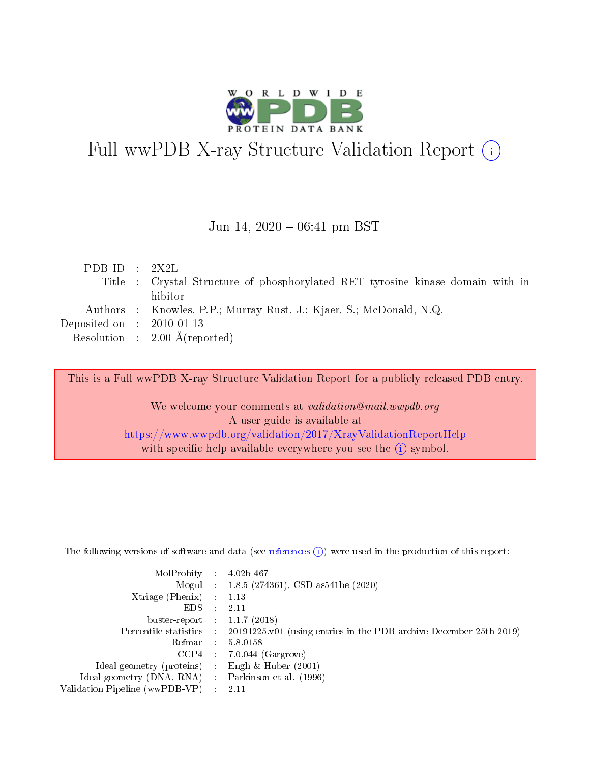

# Full wwPDB X-ray Structure Validation Report (i)

### Jun 14,  $2020 - 06:41$  pm BST

| PDB ID : $2X2L$             |                                                                                 |
|-----------------------------|---------------------------------------------------------------------------------|
|                             | Title : Crystal Structure of phosphorylated RET tyrosine kinase domain with in- |
|                             | hibitor                                                                         |
|                             | Authors : Knowles, P.P.; Murray-Rust, J.; Kjaer, S.; McDonald, N.Q.             |
| Deposited on : $2010-01-13$ |                                                                                 |
|                             | Resolution : $2.00 \text{ Å}$ (reported)                                        |

This is a Full wwPDB X-ray Structure Validation Report for a publicly released PDB entry.

We welcome your comments at validation@mail.wwpdb.org A user guide is available at <https://www.wwpdb.org/validation/2017/XrayValidationReportHelp> with specific help available everywhere you see the  $(i)$  symbol.

The following versions of software and data (see [references](https://www.wwpdb.org/validation/2017/XrayValidationReportHelp#references)  $(1)$ ) were used in the production of this report:

| MolProbity :                   |               | $4.02b - 467$                                                               |
|--------------------------------|---------------|-----------------------------------------------------------------------------|
|                                |               | Mogul : $1.8.5$ (274361), CSD as 541be (2020)                               |
| Xtriage (Phenix)               | $\mathcal{L}$ | 1.13                                                                        |
| EDS.                           |               | 2.11                                                                        |
| buster-report : $1.1.7$ (2018) |               |                                                                             |
| Percentile statistics :        |               | $20191225 \text{v}01$ (using entries in the PDB archive December 25th 2019) |
| Refmac :                       |               | 5.8.0158                                                                    |
| CCP4                           |               | $7.0.044$ (Gargrove)                                                        |
| Ideal geometry (proteins) :    |               | Engh $\&$ Huber (2001)                                                      |
| Ideal geometry (DNA, RNA) :    |               | Parkinson et al. (1996)                                                     |
| Validation Pipeline (wwPDB-VP) | $\mathcal{L}$ | 2.11                                                                        |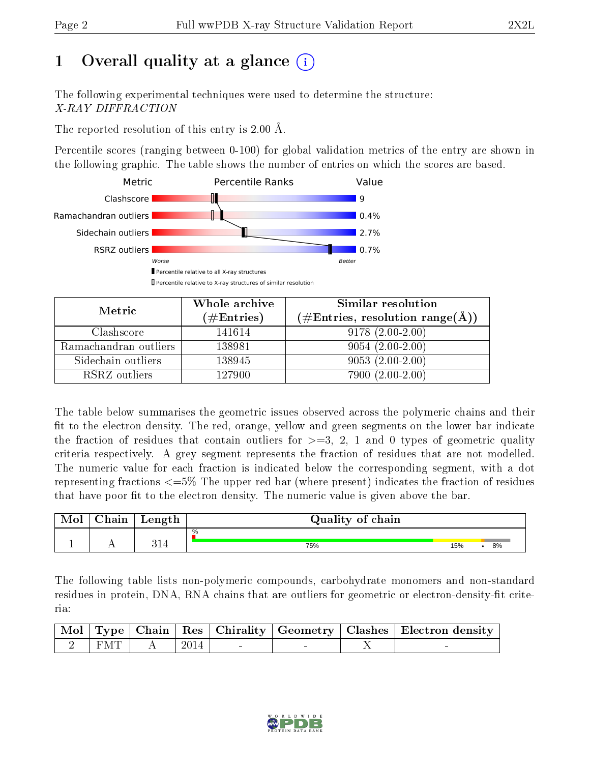# 1 [O](https://www.wwpdb.org/validation/2017/XrayValidationReportHelp#overall_quality)verall quality at a glance  $(i)$

The following experimental techniques were used to determine the structure: X-RAY DIFFRACTION

The reported resolution of this entry is 2.00 Å.

Percentile scores (ranging between 0-100) for global validation metrics of the entry are shown in the following graphic. The table shows the number of entries on which the scores are based.



| Metric                | Whole archive<br>$(\#\text{Entries})$ | Similar resolution<br>$(\#\text{Entries}, \text{resolution range}(\AA))$ |
|-----------------------|---------------------------------------|--------------------------------------------------------------------------|
| Clashscore            | 141614                                | $9178(2.00-2.00)$                                                        |
| Ramachandran outliers | 138981                                | $9054(2.00-2.00)$                                                        |
| Sidechain outliers    | 138945                                | $9053(2.00-2.00)$                                                        |
| RSRZ outliers         | 127900                                | $7900(2.00-2.00)$                                                        |

The table below summarises the geometric issues observed across the polymeric chains and their fit to the electron density. The red, orange, yellow and green segments on the lower bar indicate the fraction of residues that contain outliers for  $\geq=3$ , 2, 1 and 0 types of geometric quality criteria respectively. A grey segment represents the fraction of residues that are not modelled. The numeric value for each fraction is indicated below the corresponding segment, with a dot representing fractions  $\epsilon = 5\%$  The upper red bar (where present) indicates the fraction of residues that have poor fit to the electron density. The numeric value is given above the bar.

| Mol | ${\bf Chain}$ | Length | Quality of chain |     |    |  |
|-----|---------------|--------|------------------|-----|----|--|
|     |               | ו ר    | $\%$             |     |    |  |
|     |               |        | 75%              | 15% | 8% |  |

The following table lists non-polymeric compounds, carbohydrate monomers and non-standard residues in protein, DNA, RNA chains that are outliers for geometric or electron-density-fit criteria:

|  |                                                                               |  |  | $\mid$ Mol $\mid$ Type $\mid$ Chain $\mid$ Res $\mid$ Chirality $\mid$ Geometry $\mid$ Clashes $\mid$ Electron density $\mid$ |
|--|-------------------------------------------------------------------------------|--|--|-------------------------------------------------------------------------------------------------------------------------------|
|  | $\begin{array}{ c c c c c c c c c }\n\hline\n2 & FMT & A & 2014\n\end{array}$ |  |  |                                                                                                                               |

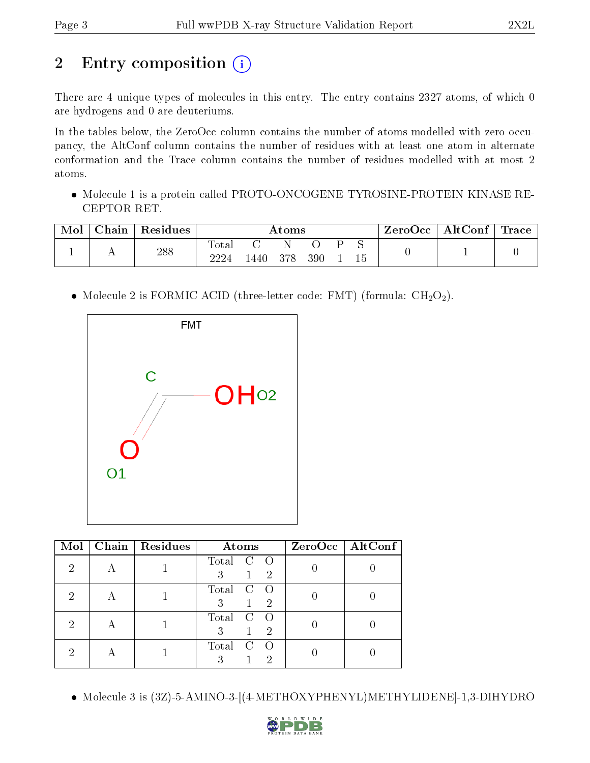# 2 Entry composition (i)

There are 4 unique types of molecules in this entry. The entry contains 2327 atoms, of which 0 are hydrogens and 0 are deuteriums.

In the tables below, the ZeroOcc column contains the number of atoms modelled with zero occupancy, the AltConf column contains the number of residues with at least one atom in alternate conformation and the Trace column contains the number of residues modelled with at most 2 atoms.

• Molecule 1 is a protein called PROTO-ONCOGENE TYROSINE-PROTEIN KINASE RE-CEPTOR RET.

| Mol | $\Box$ Chain $\Box$ | $\vert$ Residues |               | Atoms |       |     |  |    | $\text{ZeroOcc}$   AltConf   Trace |  |
|-----|---------------------|------------------|---------------|-------|-------|-----|--|----|------------------------------------|--|
|     |                     | 288              | Total<br>2224 | 1440  | - 378 | 390 |  | ιb |                                    |  |

• Molecule 2 is FORMIC ACID (three-letter code: FMT) (formula:  $CH<sub>2</sub>O<sub>2</sub>$ ).



| Mol | Chain   Residues | Atoms                                      | $ZeroOcc$   AltConf |
|-----|------------------|--------------------------------------------|---------------------|
| 2   |                  | Total<br>3<br>$\overline{2}$               |                     |
| 2   |                  | Total<br>$\mathbf C$<br>3<br>$\mathcal{D}$ |                     |
| 2   |                  | Total<br>C<br>$\mathcal{D}$<br>3           |                     |
|     |                  | Total<br>2                                 |                     |

Molecule 3 is (3Z)-5-AMINO-3-[(4-METHOXYPHENYL)METHYLIDENE]-1,3-DIHYDRO

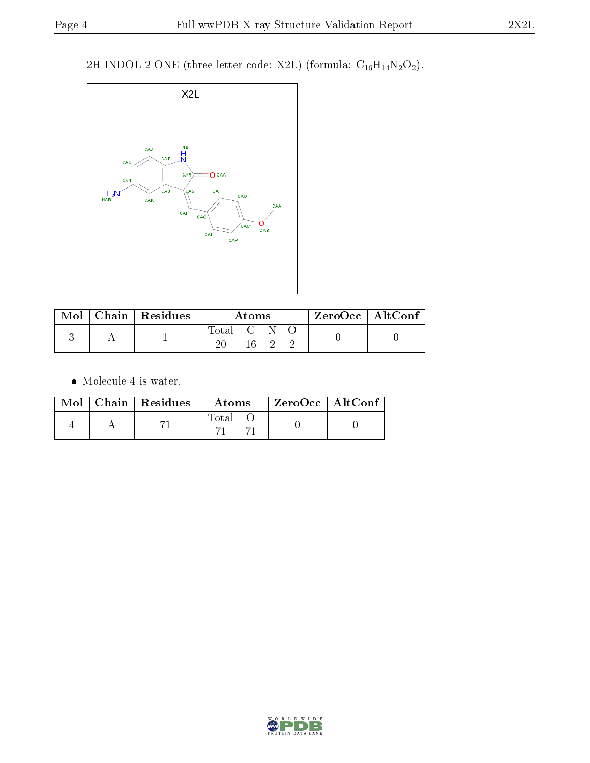-2H-INDOL-2-ONE (three-letter code: X2L) (formula:  $\mathrm{C}_{16}\mathrm{H}_{14}\mathrm{N}_2\mathrm{O}_2).$ 



|  | $\text{Mol}$   Chain   Residues | Atoms       |      |  |  | $ZeroOcc \mid AltConf \mid$ |
|--|---------------------------------|-------------|------|--|--|-----------------------------|
|  |                                 | Total C N C |      |  |  |                             |
|  |                                 |             | 16 2 |  |  |                             |

 $\bullet\,$  Molecule 4 is water.

|  | $Mol$   Chain   Residues | Atoms | $\mid$ ZeroOcc $\mid$ AltConf |  |
|--|--------------------------|-------|-------------------------------|--|
|  |                          | Total |                               |  |

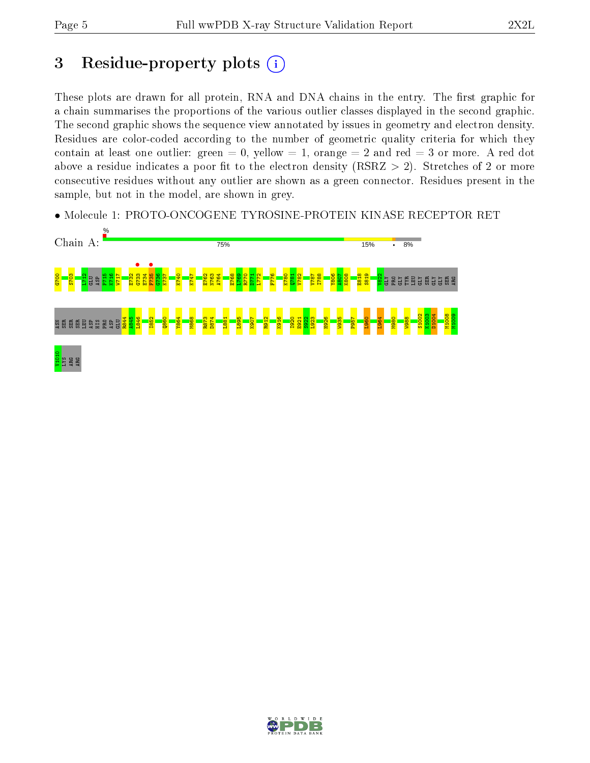# 3 Residue-property plots  $(i)$

These plots are drawn for all protein, RNA and DNA chains in the entry. The first graphic for a chain summarises the proportions of the various outlier classes displayed in the second graphic. The second graphic shows the sequence view annotated by issues in geometry and electron density. Residues are color-coded according to the number of geometric quality criteria for which they contain at least one outlier: green  $= 0$ , yellow  $= 1$ , orange  $= 2$  and red  $= 3$  or more. A red dot above a residue indicates a poor fit to the electron density (RSRZ  $> 2$ ). Stretches of 2 or more consecutive residues without any outlier are shown as a green connector. Residues present in the sample, but not in the model, are shown in grey.

• Molecule 1: PROTO-ONCOGENE TYROSINE-PROTEIN KINASE RECEPTOR RET



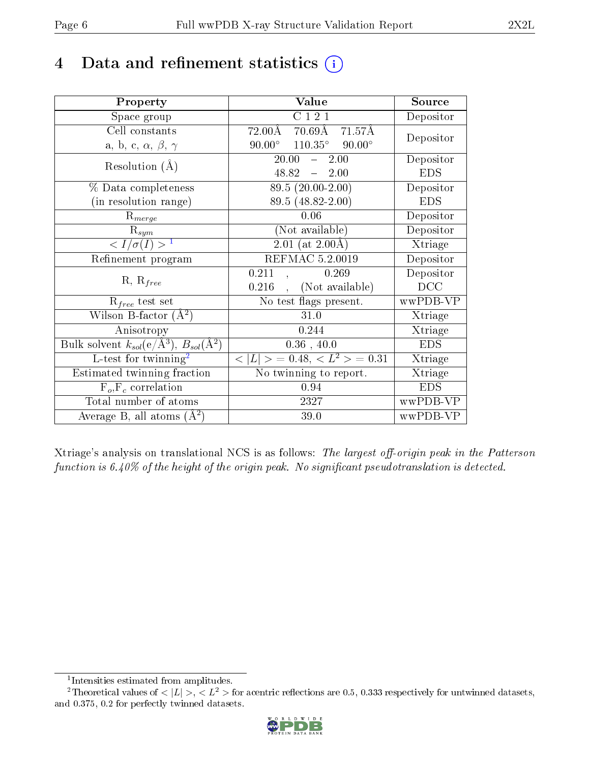# 4 Data and refinement statistics  $(i)$

| Property                                                         | Value                                                               | Source     |
|------------------------------------------------------------------|---------------------------------------------------------------------|------------|
| Space group                                                      | C121                                                                | Depositor  |
| Cell constants                                                   | $72.00\text{\AA}$<br>$70.69\text{\AA}$ $71.\overline{57\text{\AA}}$ | Depositor  |
| a, b, c, $\alpha$ , $\beta$ , $\gamma$                           | $110.35^{\circ}$ 90.00°<br>$90.00^\circ$                            |            |
| Resolution $(A)$                                                 | 20.00<br>2.00<br>$\frac{1}{2}$                                      | Depositor  |
|                                                                  | 48.82<br>$-2.00$                                                    | <b>EDS</b> |
| % Data completeness                                              | 89.5 (20.00-2.00)                                                   | Depositor  |
| (in resolution range)                                            | 89.5 (48.82-2.00)                                                   | <b>EDS</b> |
| $R_{merge}$                                                      | 0.06                                                                | Depositor  |
| $\mathrm{R}_{sym}$                                               | (Not available)                                                     | Depositor  |
| $\sqrt{I/\sigma(I)} > 1$                                         | $\sqrt{2.01 \ (at \ 2.00\text{\AA})}$                               | Xtriage    |
| Refinement program                                               | REFMAC 5.2.0019                                                     | Depositor  |
|                                                                  | 0.211<br>0.269                                                      | Depositor  |
| $R, R_{free}$                                                    | (Not available)<br>0.216                                            | DCC        |
| $R_{free}$ test set                                              | No test flags present.                                              | wwPDB-VP   |
| Wilson B-factor $(A^2)$                                          | 31.0                                                                | Xtriage    |
| Anisotropy                                                       | 0.244                                                               | Xtriage    |
| Bulk solvent $k_{sol}(\text{e}/\text{A}^3), B_{sol}(\text{A}^2)$ | 0.36, 40.0                                                          | <b>EDS</b> |
| L-test for $\mathrm{twinning}^2$                                 | $< L >$ = 0.48, $< L^2 >$ = 0.31                                    | Xtriage    |
| Estimated twinning fraction                                      | No twinning to report.                                              | Xtriage    |
| $F_o, F_c$ correlation                                           | 0.94                                                                | <b>EDS</b> |
| Total number of atoms                                            | 2327                                                                | wwPDB-VP   |
| Average B, all atoms $(A^2)$                                     | 39.0                                                                | wwPDB-VP   |

Xtriage's analysis on translational NCS is as follows: The largest off-origin peak in the Patterson function is  $6.40\%$  of the height of the origin peak. No significant pseudotranslation is detected.

<sup>&</sup>lt;sup>2</sup>Theoretical values of  $\langle |L| \rangle$ ,  $\langle L^2 \rangle$  for acentric reflections are 0.5, 0.333 respectively for untwinned datasets, and 0.375, 0.2 for perfectly twinned datasets.



<span id="page-5-1"></span><span id="page-5-0"></span><sup>1</sup> Intensities estimated from amplitudes.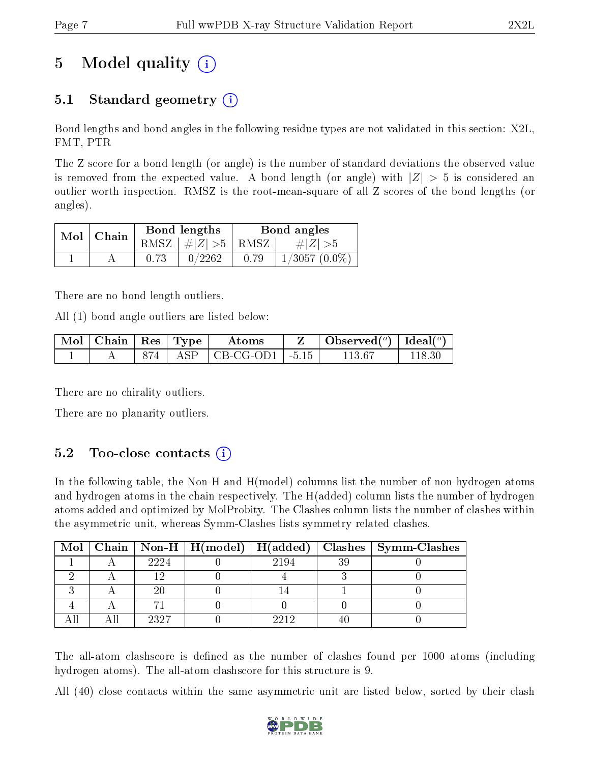# 5 Model quality  $(i)$

# 5.1 Standard geometry  $(i)$

Bond lengths and bond angles in the following residue types are not validated in this section: X2L, FMT, PTR

The Z score for a bond length (or angle) is the number of standard deviations the observed value is removed from the expected value. A bond length (or angle) with  $|Z| > 5$  is considered an outlier worth inspection. RMSZ is the root-mean-square of all Z scores of the bond lengths (or angles).

| $Mol$   Chain |      | Bond lengths                | Bond angles |                  |  |
|---------------|------|-----------------------------|-------------|------------------|--|
|               |      | $RMSZ \mid # Z  > 5$   RMSZ |             | $\# Z  > 5$      |  |
|               | 0.73 | 0/2262                      | 0.79        | $1/3057~(0.0\%)$ |  |

There are no bond length outliers.

All (1) bond angle outliers are listed below:

| $\mid$ Mol $\mid$ Chain $\mid$ Res $\mid$ Type $\mid$ |  | Atoms                           | $\bullet$ Observed( $^o$ )   Ideal( $^o$ ) |  |
|-------------------------------------------------------|--|---------------------------------|--------------------------------------------|--|
|                                                       |  | $874$   ASP   CB-CG-OD1   -5.15 | 113.67                                     |  |

There are no chirality outliers.

There are no planarity outliers.

## $5.2$  Too-close contacts  $(i)$

In the following table, the Non-H and H(model) columns list the number of non-hydrogen atoms and hydrogen atoms in the chain respectively. The H(added) column lists the number of hydrogen atoms added and optimized by MolProbity. The Clashes column lists the number of clashes within the asymmetric unit, whereas Symm-Clashes lists symmetry related clashes.

|  |      |      | Mol   Chain   Non-H   H(model)   H(added)   Clashes   Symm-Clashes |
|--|------|------|--------------------------------------------------------------------|
|  | 2224 | 2194 |                                                                    |
|  |      |      |                                                                    |
|  |      |      |                                                                    |
|  |      |      |                                                                    |
|  | 9397 | 9919 |                                                                    |

The all-atom clashscore is defined as the number of clashes found per 1000 atoms (including hydrogen atoms). The all-atom clashscore for this structure is 9.

All (40) close contacts within the same asymmetric unit are listed below, sorted by their clash

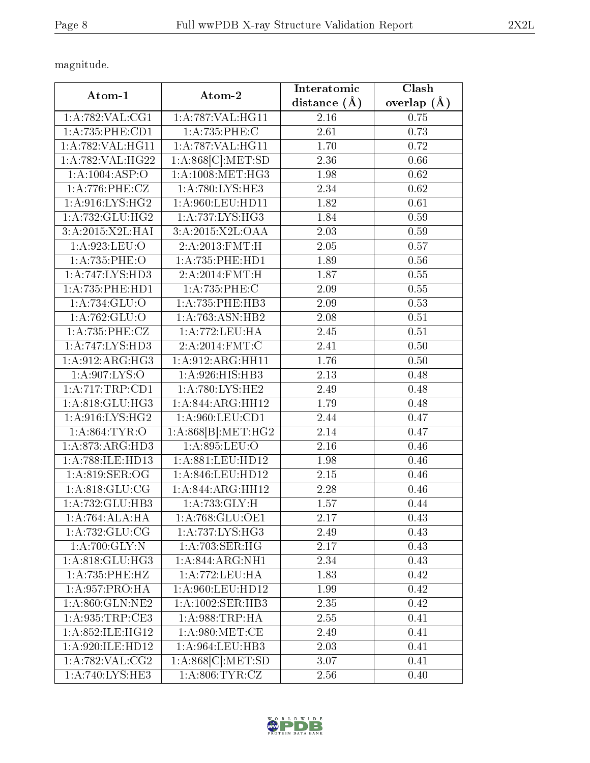magnitude.

|                                     |                     | Interatomic       | Clash             |  |
|-------------------------------------|---------------------|-------------------|-------------------|--|
| Atom-1                              | Atom-2              | distance $(\AA)$  | overlap $(\AA)$   |  |
| 1: A:782: VAL:CG1                   | 1:A:787:VAL:HG11    | 2.16              | 0.75              |  |
| 1:A:735:PHE:CD1                     | 1:A:735:PHE:C       | 2.61              | 0.73              |  |
| 1:A:782:VAL:HG11                    | 1:A:787:VAL:HG11    | $\overline{1.70}$ | 0.72              |  |
| 1:A:782:VAL:HG22                    | 1:A:868[C]:MET:SD   | 2.36              | 0.66              |  |
| 1:A:1004:ASP:O                      | 1: A:1008:MET:HG3   | 1.98              | 0.62              |  |
| 1:A:776:PHE:CZ                      | 1: A:780: LYS: HE3  | 2.34              | 0.62              |  |
| 1: A:916: LYS: HG2                  | 1:A:960:LEU:HD11    | 1.82              | $\overline{0.61}$ |  |
| 1: A: 732: GLU: HG2                 | 1: A: 737: LYS: HG3 | 1.84              | 0.59              |  |
| 3:A:2015:X2L:HAI                    | 3:A:2015:X2L:OAA    | 2.03              | 0.59              |  |
| 1: A:923: LEU:O                     | 2:A:2013:FMT:H      | 2.05              | 0.57              |  |
| 1:A:735:PHE:O                       | 1: A: 735: PHE: HD1 | 1.89              | 0.56              |  |
| 1: A:747: LYS: HD3                  | 2:A:2014:FMT:H      | 1.87              | 0.55              |  |
| 1: A: 735: PHE: HD1                 | 1:A:735:PHE:C       | 2.09              | 0.55              |  |
| 1:A:734:GLU:O                       | 1: A: 735: PHE: HB3 | 2.09              | 0.53              |  |
| 1:A:762:GLU:O                       | 1: A:763:ASN:HB2    | 2.08              | 0.51              |  |
| 1:A:735:PHE:CZ                      | 1:A:772:LEU:HA      | 2.45              | 0.51              |  |
| 1:A:747:LYS:HD3                     | 2:A:2014:FMT:C      | 2.41              | 0.50              |  |
| 1:A:912:ARG:HG3                     | 1:A:912:ARG:HH11    | 1.76              | $0.50\,$          |  |
| 1:A:907:LYS:O                       | 1:A:926:HIS:HB3     | 2.13              | 0.48              |  |
| 1:A:717:TRP:CD1                     | 1: A:780: LYS: HE2  | 2.49              | 0.48              |  |
| 1:A:818:GLU:HG3                     | 1:A:844:ARG:HH12    | 1.79              | 0.48              |  |
| $1:$ A:916:LYS:HG2                  | 1:A:960:LEU:CD1     | 2.44              | 0.47              |  |
| 1: A:864:TYR:O                      | 1:A:868[B]:MET:HG2  | 2.14              | 0.47              |  |
| 1:A:873:ARG:HD3                     | 1:A:895:LEU:O       | 2.16              | 0.46              |  |
| 1:A:788:ILE:HD13                    | 1: A:881:LEU:HD12   | 1.98              | 0.46              |  |
| 1:A:819:SER:OG                      | 1:A:846:LEU:HD12    | 2.15              | 0.46              |  |
| 1: A.818: GLU:CG                    | 1:A:844:ARG:HH12    | 2.28              | 0.46              |  |
| 1:A:732:GLU:HB3                     | 1:A:733:GLY:H       | 1.57              | 0.44              |  |
| 1:A:764:ALA:HA                      | 1: A:768: GLU:OE1   | 2.17              | 0.43              |  |
| 1:A:732:GLU:CG                      | 1:A:737:LYS:HG3     | 2.49              | 0.43              |  |
| $1:A:700:GLY:\overline{N}$          | 1: A:703: SER:HG    | 2.17              | 0.43              |  |
| 1:A:818:GLU:HG3                     | 1:A:844:ARG:NH1     | 2.34              | 0.43              |  |
| 1:A:735:PHE:HZ                      | 1:A:772:LEU:HA      | 1.83              | 0.42              |  |
| 1: A:957: PRO:HA                    | 1: A:960: LEU: HD12 | 1.99              | 0.42              |  |
| 1: A:860: GLN:NE2                   | 1:A:1002:SER:HB3    | 2.35              | 0.42              |  |
| 1:A:935:TRP:CE3                     | 1: A:988:TRP:HA     | 2.55              | 0.41              |  |
| 1:A:852:ILE:HG12                    | 1: A:980:MET:CE     | 2.49              | 0.41              |  |
| 1:A:920:ILE:HD12                    | 1: A:964:LEU:HB3    | 2.03              | 0.41              |  |
| 1: A:782: VAL: CG2                  | 1:A:868[C]:MET:SD   | 3.07              | 0.41              |  |
| $1:A:740:\overline{\text{LYS:HE3}}$ | 1: A:806: TYR: CZ   | 2.56              | 0.40              |  |

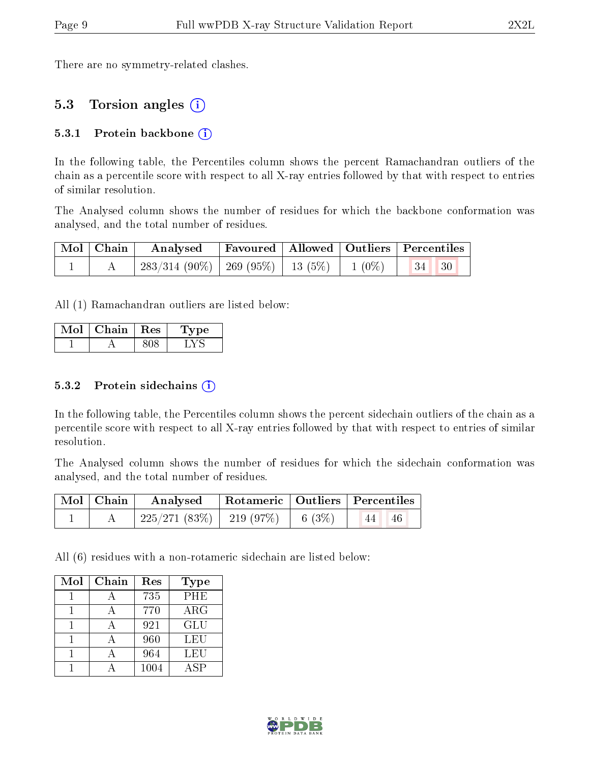There are no symmetry-related clashes.

### 5.3 Torsion angles (i)

#### 5.3.1 Protein backbone  $(i)$

In the following table, the Percentiles column shows the percent Ramachandran outliers of the chain as a percentile score with respect to all X-ray entries followed by that with respect to entries of similar resolution.

The Analysed column shows the number of residues for which the backbone conformation was analysed, and the total number of residues.

|  |                                                      | Mol   Chain   Analysed   Favoured   Allowed   Outliers   Percentiles |  |  |  |
|--|------------------------------------------------------|----------------------------------------------------------------------|--|--|--|
|  | $283/314(90\%)$ 269 (95%)   13 (5%)   1 (0%)   34 30 |                                                                      |  |  |  |

All (1) Ramachandran outliers are listed below:

| $\operatorname{Mol}$ , | Chain   Res | <b>Type</b> |
|------------------------|-------------|-------------|
|                        |             |             |

#### 5.3.2 Protein sidechains  $(i)$

In the following table, the Percentiles column shows the percent sidechain outliers of the chain as a percentile score with respect to all X-ray entries followed by that with respect to entries of similar resolution.

The Analysed column shows the number of residues for which the sidechain conformation was analysed, and the total number of residues.

| Mol   Chain | Analysed   Rotameric   Outliers   Percentiles |                     |            |  |
|-------------|-----------------------------------------------|---------------------|------------|--|
|             | $225/271(83\%)$   219 (97\%)                  | $\frac{1}{6}$ (3\%) | 46<br>. 44 |  |

All (6) residues with a non-rotameric sidechain are listed below:

| Mol | Chain | Res  | <b>Type</b> |
|-----|-------|------|-------------|
|     |       | 735  | PHE         |
|     |       | 770  | $\rm{ARG}$  |
|     |       | 921  | <b>GLU</b>  |
|     |       | 960  | LEU         |
|     |       | 964  | LEU         |
|     |       | 1004 | ASP         |

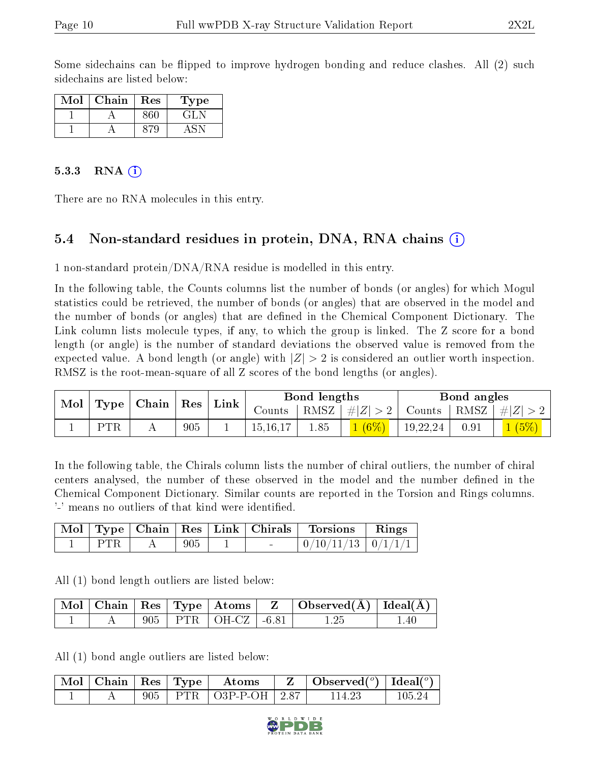Some sidechains can be flipped to improve hydrogen bonding and reduce clashes. All (2) such sidechains are listed below:

| Mol | ${\bf Chain}$ | Res | ype |
|-----|---------------|-----|-----|
|     |               |     | GH. |
|     |               |     |     |

#### 5.3.3 RNA  $(i)$

There are no RNA molecules in this entry.

## 5.4 Non-standard residues in protein, DNA, RNA chains (i)

1 non-standard protein/DNA/RNA residue is modelled in this entry.

In the following table, the Counts columns list the number of bonds (or angles) for which Mogul statistics could be retrieved, the number of bonds (or angles) that are observed in the model and the number of bonds (or angles) that are dened in the Chemical Component Dictionary. The Link column lists molecule types, if any, to which the group is linked. The Z score for a bond length (or angle) is the number of standard deviations the observed value is removed from the expected value. A bond length (or angle) with  $|Z| > 2$  is considered an outlier worth inspection. RMSZ is the root-mean-square of all Z scores of the bond lengths (or angles).

| Mol |            | Type   Chain   Res |     | $\perp$ Link |               | Bond lengths |                    |          | Bond angles |                                  |  |
|-----|------------|--------------------|-----|--------------|---------------|--------------|--------------------|----------|-------------|----------------------------------|--|
|     |            |                    |     |              | $\rm{Counts}$ |              | RMSZ   $\# Z  > 2$ |          |             | Counts   RMSZ $\vert \#  Z  > 2$ |  |
|     | <b>PTR</b> |                    | 905 |              | 15, 16, 17    | 1.85         | $(6\%)$            | 19,22,24 | 0.91        | 1(5%)                            |  |

In the following table, the Chirals column lists the number of chiral outliers, the number of chiral centers analysed, the number of these observed in the model and the number defined in the Chemical Component Dictionary. Similar counts are reported in the Torsion and Rings columns. '-' means no outliers of that kind were identified.

|       |     |                          | Mol   Type   Chain   Res   Link   Chirals   Torsions   Rings |  |
|-------|-----|--------------------------|--------------------------------------------------------------|--|
| ∣ PTR | 905 | <b>Contract Contract</b> | $\mid 0/10/11/13 \mid 0/1/1/1 \mid$                          |  |

All (1) bond length outliers are listed below:

|  |  | $\sqrt{\text{Mol}}$   Chain   Res   Type   Atoms | $\cdot$ $\cdot$ $\mathbf{Z}$ $\rightarrow$ $\cdot$ | $\Box$ Observed( $\AA$ ) $\Box$ Ideal( $\AA$ ) |       |
|--|--|--------------------------------------------------|----------------------------------------------------|------------------------------------------------|-------|
|  |  | 905   PTR   OH-CZ   -6.81                        |                                                    |                                                | $-40$ |

All (1) bond angle outliers are listed below:

|  |  | $\lceil\,\overline{\text{Mol}}\,\rceil$ Chain $\lceil\,\text{Res}\,\rceil$ Type $\lceil\,\,\text{Atoms}\,\rceil$ | $\parallel$ Z $\parallel$ Observed( <sup>o</sup> ) $\parallel$ Ideal( <sup>o</sup> ) |        |
|--|--|------------------------------------------------------------------------------------------------------------------|--------------------------------------------------------------------------------------|--------|
|  |  | 905   PTR   O3P-P-OH   2.87                                                                                      | 114.23                                                                               | 105-24 |

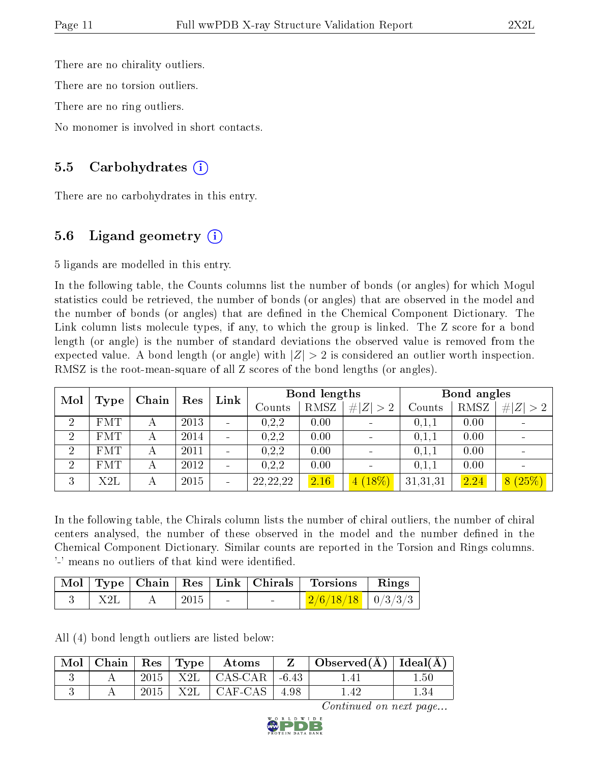There are no chirality outliers.

There are no torsion outliers.

There are no ring outliers.

No monomer is involved in short contacts.

### 5.5 Carbohydrates  $(i)$

There are no carbohydrates in this entry.

# 5.6 Ligand geometry  $(i)$

5 ligands are modelled in this entry.

In the following table, the Counts columns list the number of bonds (or angles) for which Mogul statistics could be retrieved, the number of bonds (or angles) that are observed in the model and the number of bonds (or angles) that are defined in the Chemical Component Dictionary. The Link column lists molecule types, if any, to which the group is linked. The Z score for a bond length (or angle) is the number of standard deviations the observed value is removed from the expected value. A bond length (or angle) with  $|Z| > 2$  is considered an outlier worth inspection. RMSZ is the root-mean-square of all Z scores of the bond lengths (or angles).

| Mol            |            | Chain | Res  | Link     |                   | Bond lengths |             |          | Bond angles |               |  |
|----------------|------------|-------|------|----------|-------------------|--------------|-------------|----------|-------------|---------------|--|
|                | Type       |       |      |          | $\mathrm{Counts}$ | RMSZ         | # $ Z  > 2$ | Counts   | RMSZ        | $\# Z $<br>>2 |  |
| $\overline{2}$ | <b>FMT</b> |       | 2013 |          | 0, 2, 2           | 0.00         |             | 0.1,1    | 0.00        |               |  |
| $\overline{2}$ | <b>FMT</b> |       | 2014 |          | 0, 2, 2           | 0.00         |             | 0.1,1    | 0.00        |               |  |
| $\overline{2}$ | <b>FMT</b> |       | 2011 |          | 0, 2, 2           | 0.00         |             | 0,1,1    | 0.00        |               |  |
| $\overline{2}$ | <b>FMT</b> |       | 2012 |          | 0, 2, 2           | 0.00         |             | 0,1,1    | 0.00        |               |  |
| 3              | X2L        | А     | 2015 | $\equiv$ | 22, 22, 22        | 2.16         | 18%)<br>4   | 31,31,31 | 2.24        | 8(25%)        |  |

In the following table, the Chirals column lists the number of chiral outliers, the number of chiral centers analysed, the number of these observed in the model and the number defined in the Chemical Component Dictionary. Similar counts are reported in the Torsion and Rings columns. '-' means no outliers of that kind were identified.

|     |         |                          |        | Mol   Type   Chain   Res   Link   Chirals   Torsions   Rings |  |
|-----|---------|--------------------------|--------|--------------------------------------------------------------|--|
| X2L | $+2015$ | <b>Contract Contract</b> | $\sim$ | $\frac{2}{6}/\frac{18}{18}$   0/3/3/3                        |  |

All (4) bond length outliers are listed below:

| $\vert$ Mol $\vert$ | $\vert$ Chain $\vert$ Res $\vert$ Type $\vert$ |      | $^+$ Atoms                            | Observed( $\AA$ )   Ideal( $\AA$ ) |       |
|---------------------|------------------------------------------------|------|---------------------------------------|------------------------------------|-------|
|                     |                                                |      | 2015   X2L   CAS-CAR   -6.43          |                                    | . .50 |
|                     |                                                | 2015 | $\mid$ X2L $\mid$ CAF-CAS $\mid$ 4.98 |                                    | 1.34  |

Continued on next page...

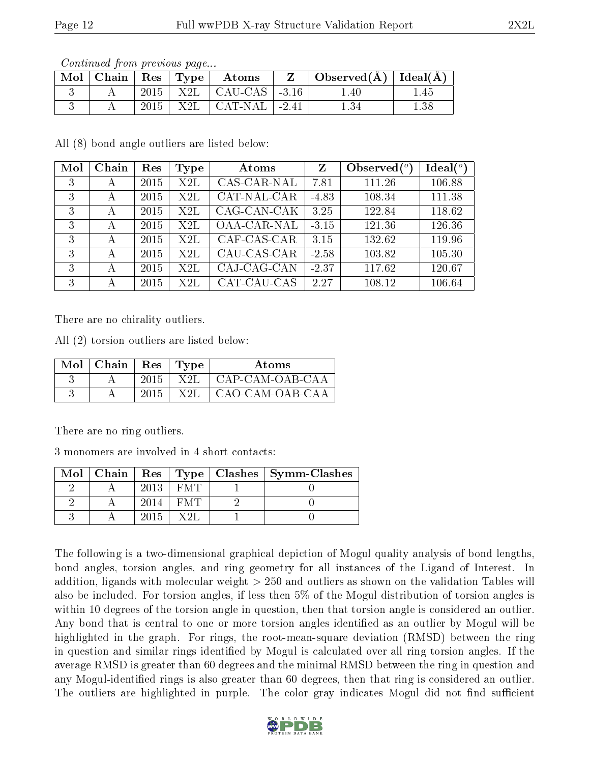| Continued from previous page |  |  |
|------------------------------|--|--|
|                              |  |  |

| $\mid$ Mol $\mid$ Chain $\mid$ Res $\mid$ Type $\mid$ |      | Atoms                                 | $\Box$ Observed( $\AA$ )   Ideal( $\overline{A}$ ) |      |
|-------------------------------------------------------|------|---------------------------------------|----------------------------------------------------|------|
|                                                       |      | $2015$   X2L   CAU-CAS   -3.16        | $1.40\,$                                           | .45  |
|                                                       | 2015 | $+$ X2L $\vert$ CAT-NAL $\vert$ -2.41 |                                                    | 1.38 |

All (8) bond angle outliers are listed below:

| Mol | Chain | Res  | Type | Atoms       | $\mathbf{Z}$ | Observed $\binom{o}{c}$ | Ideal $(^\circ)$ |
|-----|-------|------|------|-------------|--------------|-------------------------|------------------|
| 3   | А     | 2015 | X2L  | CAS-CAR-NAL | 7.81         | 111.26                  | 106.88           |
| 3   | А     | 2015 | X2L  | CAT-NAL-CAR | $-4.83$      | 108.34                  | 111.38           |
| 3   | А     | 2015 | X2L  | CAG-CAN-CAK | 3.25         | 122.84                  | 118.62           |
| 3   | А     | 2015 | X2L  | OAA-CAR-NAL | $-3.15$      | 121.36                  | 126.36           |
| 3   | А     | 2015 | X2L  | CAF-CAS-CAR | 3.15         | 132.62                  | 119.96           |
| 3   | А     | 2015 | X2L  | CAU-CAS-CAR | $-2.58$      | 103.82                  | 105.30           |
| 3   | А     | 2015 | X2L  | CAJ-CAG-CAN | $-2.37$      | 117.62                  | 120.67           |
| 3   | А     | 2015 | X2L  | CAT-CAU-CAS | 2.27         | 108.12                  | 106.64           |

There are no chirality outliers.

All (2) torsion outliers are listed below:

| Mol | Chain | Res  | Type | Atoms           |
|-----|-------|------|------|-----------------|
|     |       | 2015 | X 2I | CAP-CAM-OAB-CAA |
|     |       | 2015 | X 2I | CAO-CAM-OAB-CAA |

There are no ring outliers.

3 monomers are involved in 4 short contacts:

| Mol |      |      | Chain   Res   Type   Clashes   Symm-Clashes |
|-----|------|------|---------------------------------------------|
|     | 2013 | EM T |                                             |
|     | 2014 | EMT. |                                             |
|     | 2015 | X 2I |                                             |

The following is a two-dimensional graphical depiction of Mogul quality analysis of bond lengths, bond angles, torsion angles, and ring geometry for all instances of the Ligand of Interest. In addition, ligands with molecular weight > 250 and outliers as shown on the validation Tables will also be included. For torsion angles, if less then 5% of the Mogul distribution of torsion angles is within 10 degrees of the torsion angle in question, then that torsion angle is considered an outlier. Any bond that is central to one or more torsion angles identified as an outlier by Mogul will be highlighted in the graph. For rings, the root-mean-square deviation (RMSD) between the ring in question and similar rings identified by Mogul is calculated over all ring torsion angles. If the average RMSD is greater than 60 degrees and the minimal RMSD between the ring in question and any Mogul-identified rings is also greater than 60 degrees, then that ring is considered an outlier. The outliers are highlighted in purple. The color gray indicates Mogul did not find sufficient

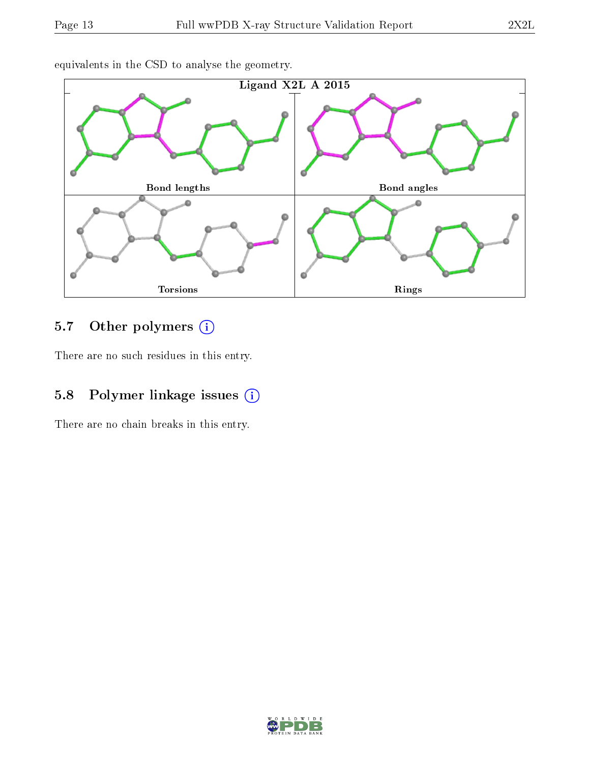

equivalents in the CSD to analyse the geometry.

# 5.7 [O](https://www.wwpdb.org/validation/2017/XrayValidationReportHelp#nonstandard_residues_and_ligands)ther polymers (i)

There are no such residues in this entry.

# 5.8 Polymer linkage issues (i)

There are no chain breaks in this entry.

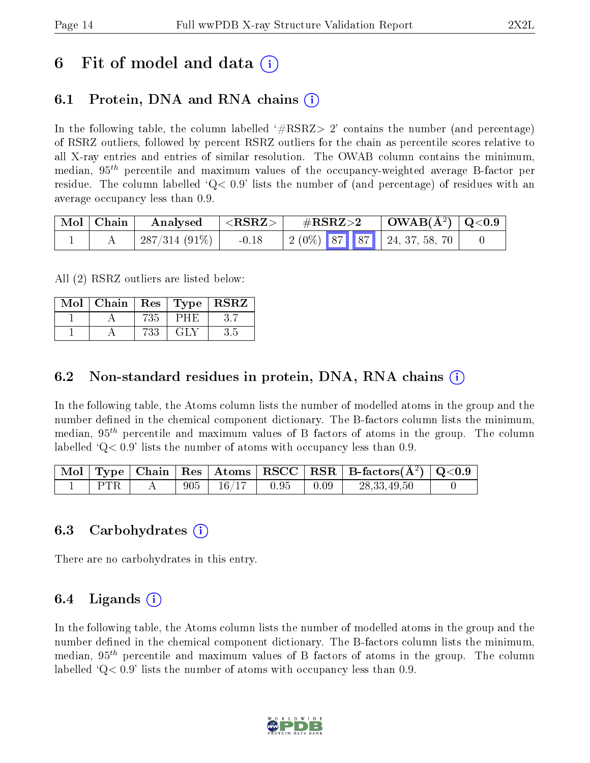# 6 Fit of model and data  $(i)$

# 6.1 Protein, DNA and RNA chains (i)

In the following table, the column labelled  $#RSRZ> 2'$  contains the number (and percentage) of RSRZ outliers, followed by percent RSRZ outliers for the chain as percentile scores relative to all X-ray entries and entries of similar resolution. The OWAB column contains the minimum, median,  $95<sup>th</sup>$  percentile and maximum values of the occupancy-weighted average B-factor per residue. The column labelled  $Q < 0.9$  lists the number of (and percentage) of residues with an average occupancy less than 0.9.

| Mol   Chain | $\mid$ Analysed $\mid$ <rsrz> <math>\mid</math></rsrz> |         | $\rm \#RSRZ{>}2$ | $\vert$ OWAB(Å <sup>2</sup> ) $\vert$ Q<0.9 $\vert$                                                     |  |
|-------------|--------------------------------------------------------|---------|------------------|---------------------------------------------------------------------------------------------------------|--|
|             | $\mid$ 287/314 (91%) $\mid$                            | $-0.18$ |                  | $\begin{array}{ c c c c c c c c } \hline 2 & (0\%) & 87 & 87 & 24 & 37 & 58 & 70 \\ \hline \end{array}$ |  |

All (2) RSRZ outliers are listed below:

| Mol | Chain |     |             | $\vert$ Res $\vert$ Type $\vert$ RSRZ |
|-----|-------|-----|-------------|---------------------------------------|
|     |       | 735 | ש⊢י         |                                       |
|     |       | 733 | $-$ GH $N-$ | პ.ს                                   |

### 6.2 Non-standard residues in protein, DNA, RNA chains  $(i)$

In the following table, the Atoms column lists the number of modelled atoms in the group and the number defined in the chemical component dictionary. The B-factors column lists the minimum, median,  $95<sup>th</sup>$  percentile and maximum values of B factors of atoms in the group. The column labelled  $Q< 0.9$ ' lists the number of atoms with occupancy less than 0.9.

|                 |  |                                                               |  | $\lceil$ Mol $\lceil$ Type $\lceil$ Chain $\lceil$ Res $\lceil$ Atoms $\lceil$ RSCC $\lceil$ RSR $\lceil$ B-factors(A <sup>2</sup> ) $\lceil$ Q<0.9 $\lceil$ |  |
|-----------------|--|---------------------------------------------------------------|--|--------------------------------------------------------------------------------------------------------------------------------------------------------------|--|
| $\pm$ PTR $\pm$ |  | $A = \begin{bmatrix} 905 & 16/17 & 0.95 & 0.09 \end{bmatrix}$ |  | 28,33,49,50                                                                                                                                                  |  |

### 6.3 Carbohydrates (i)

There are no carbohydrates in this entry.

## 6.4 Ligands  $(i)$

In the following table, the Atoms column lists the number of modelled atoms in the group and the number defined in the chemical component dictionary. The B-factors column lists the minimum, median,  $95<sup>th</sup>$  percentile and maximum values of B factors of atoms in the group. The column labelled  $Q< 0.9$ ' lists the number of atoms with occupancy less than 0.9.